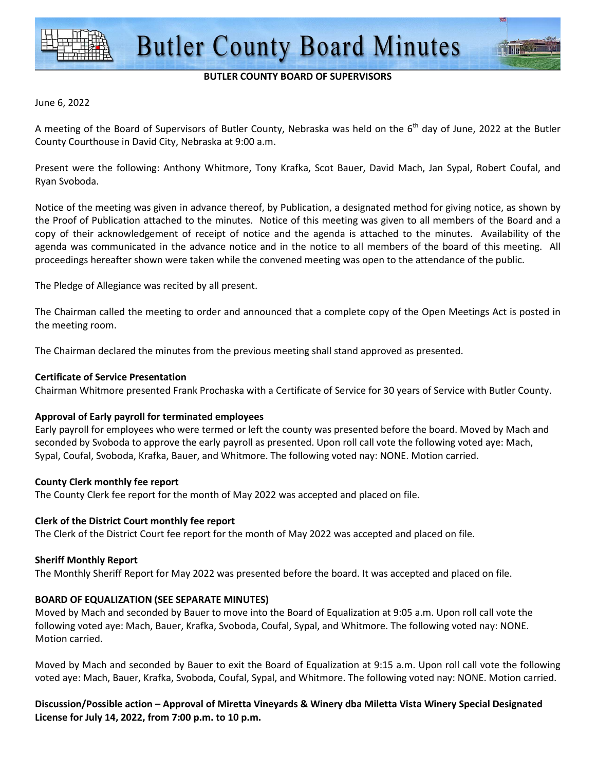

#### **BUTLER COUNTY BOARD OF SUPERVISORS**

#### June 6, 2022

A meeting of the Board of Supervisors of Butler County, Nebraska was held on the  $6<sup>th</sup>$  day of June, 2022 at the Butler County Courthouse in David City, Nebraska at 9:00 a.m.

Present were the following: Anthony Whitmore, Tony Krafka, Scot Bauer, David Mach, Jan Sypal, Robert Coufal, and Ryan Svoboda.

Notice of the meeting was given in advance thereof, by Publication, a designated method for giving notice, as shown by the Proof of Publication attached to the minutes. Notice of this meeting was given to all members of the Board and a copy of their acknowledgement of receipt of notice and the agenda is attached to the minutes. Availability of the agenda was communicated in the advance notice and in the notice to all members of the board of this meeting. All proceedings hereafter shown were taken while the convened meeting was open to the attendance of the public.

The Pledge of Allegiance was recited by all present.

The Chairman called the meeting to order and announced that a complete copy of the Open Meetings Act is posted in the meeting room.

The Chairman declared the minutes from the previous meeting shall stand approved as presented.

#### **Certificate of Service Presentation**

Chairman Whitmore presented Frank Prochaska with a Certificate of Service for 30 years of Service with Butler County.

#### **Approval of Early payroll for terminated employees**

Early payroll for employees who were termed or left the county was presented before the board. Moved by Mach and seconded by Svoboda to approve the early payroll as presented. Upon roll call vote the following voted aye: Mach, Sypal, Coufal, Svoboda, Krafka, Bauer, and Whitmore. The following voted nay: NONE. Motion carried.

#### **County Clerk monthly fee report**

The County Clerk fee report for the month of May 2022 was accepted and placed on file.

#### **Clerk of the District Court monthly fee report**

The Clerk of the District Court fee report for the month of May 2022 was accepted and placed on file.

#### **Sheriff Monthly Report**

The Monthly Sheriff Report for May 2022 was presented before the board. It was accepted and placed on file.

# **BOARD OF EQUALIZATION (SEE SEPARATE MINUTES)**

Moved by Mach and seconded by Bauer to move into the Board of Equalization at 9:05 a.m. Upon roll call vote the following voted aye: Mach, Bauer, Krafka, Svoboda, Coufal, Sypal, and Whitmore. The following voted nay: NONE. Motion carried.

Moved by Mach and seconded by Bauer to exit the Board of Equalization at 9:15 a.m. Upon roll call vote the following voted aye: Mach, Bauer, Krafka, Svoboda, Coufal, Sypal, and Whitmore. The following voted nay: NONE. Motion carried.

**Discussion/Possible action – Approval of Miretta Vineyards & Winery dba Miletta Vista Winery Special Designated License for July 14, 2022, from 7:00 p.m. to 10 p.m.**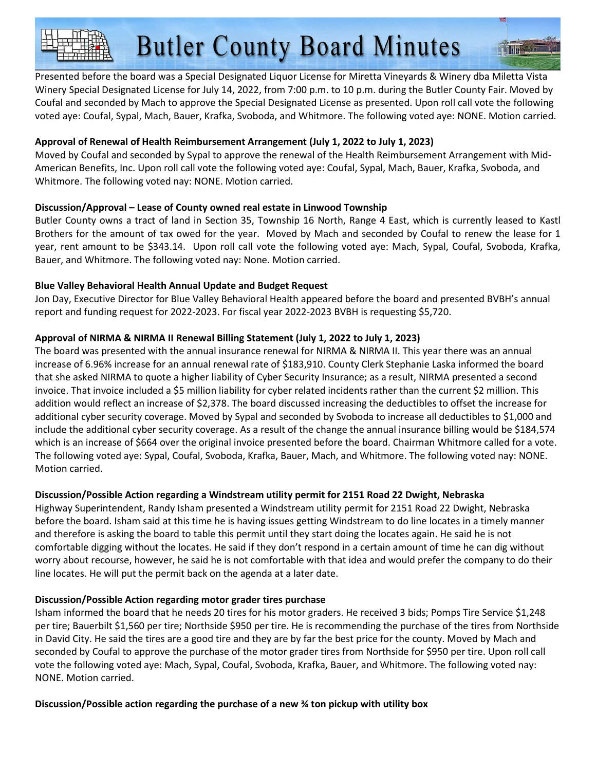Presented before the board was a Special Designated Liquor License for Miretta Vineyards & Winery dba Miletta Vista Winery Special Designated License for July 14, 2022, from 7:00 p.m. to 10 p.m. during the Butler County Fair. Moved by Coufal and seconded by Mach to approve the Special Designated License as presented. Upon roll call vote the following voted aye: Coufal, Sypal, Mach, Bauer, Krafka, Svoboda, and Whitmore. The following voted aye: NONE. Motion carried.

# **Approval of Renewal of Health Reimbursement Arrangement (July 1, 2022 to July 1, 2023)**

Moved by Coufal and seconded by Sypal to approve the renewal of the Health Reimbursement Arrangement with Mid-American Benefits, Inc. Upon roll call vote the following voted aye: Coufal, Sypal, Mach, Bauer, Krafka, Svoboda, and Whitmore. The following voted nay: NONE. Motion carried.

# **Discussion/Approval – Lease of County owned real estate in Linwood Township**

Butler County owns a tract of land in Section 35, Township 16 North, Range 4 East, which is currently leased to Kastl Brothers for the amount of tax owed for the year. Moved by Mach and seconded by Coufal to renew the lease for 1 year, rent amount to be \$343.14. Upon roll call vote the following voted aye: Mach, Sypal, Coufal, Svoboda, Krafka, Bauer, and Whitmore. The following voted nay: None. Motion carried.

# **Blue Valley Behavioral Health Annual Update and Budget Request**

Jon Day, Executive Director for Blue Valley Behavioral Health appeared before the board and presented BVBH's annual report and funding request for 2022-2023. For fiscal year 2022-2023 BVBH is requesting \$5,720.

# **Approval of NIRMA & NIRMA II Renewal Billing Statement (July 1, 2022 to July 1, 2023)**

The board was presented with the annual insurance renewal for NIRMA & NIRMA II. This year there was an annual increase of 6.96% increase for an annual renewal rate of \$183,910. County Clerk Stephanie Laska informed the board that she asked NIRMA to quote a higher liability of Cyber Security Insurance; as a result, NIRMA presented a second invoice. That invoice included a \$5 million liability for cyber related incidents rather than the current \$2 million. This addition would reflect an increase of \$2,378. The board discussed increasing the deductibles to offset the increase for additional cyber security coverage. Moved by Sypal and seconded by Svoboda to increase all deductibles to \$1,000 and include the additional cyber security coverage. As a result of the change the annual insurance billing would be \$184,574 which is an increase of \$664 over the original invoice presented before the board. Chairman Whitmore called for a vote. The following voted aye: Sypal, Coufal, Svoboda, Krafka, Bauer, Mach, and Whitmore. The following voted nay: NONE. Motion carried.

# **Discussion/Possible Action regarding a Windstream utility permit for 2151 Road 22 Dwight, Nebraska**

Highway Superintendent, Randy Isham presented a Windstream utility permit for 2151 Road 22 Dwight, Nebraska before the board. Isham said at this time he is having issues getting Windstream to do line locates in a timely manner and therefore is asking the board to table this permit until they start doing the locates again. He said he is not comfortable digging without the locates. He said if they don't respond in a certain amount of time he can dig without worry about recourse, however, he said he is not comfortable with that idea and would prefer the company to do their line locates. He will put the permit back on the agenda at a later date.

# **Discussion/Possible Action regarding motor grader tires purchase**

Isham informed the board that he needs 20 tires for his motor graders. He received 3 bids; Pomps Tire Service \$1,248 per tire; Bauerbilt \$1,560 per tire; Northside \$950 per tire. He is recommending the purchase of the tires from Northside in David City. He said the tires are a good tire and they are by far the best price for the county. Moved by Mach and seconded by Coufal to approve the purchase of the motor grader tires from Northside for \$950 per tire. Upon roll call vote the following voted aye: Mach, Sypal, Coufal, Svoboda, Krafka, Bauer, and Whitmore. The following voted nay: NONE. Motion carried.

**Discussion/Possible action regarding the purchase of a new ¾ ton pickup with utility box**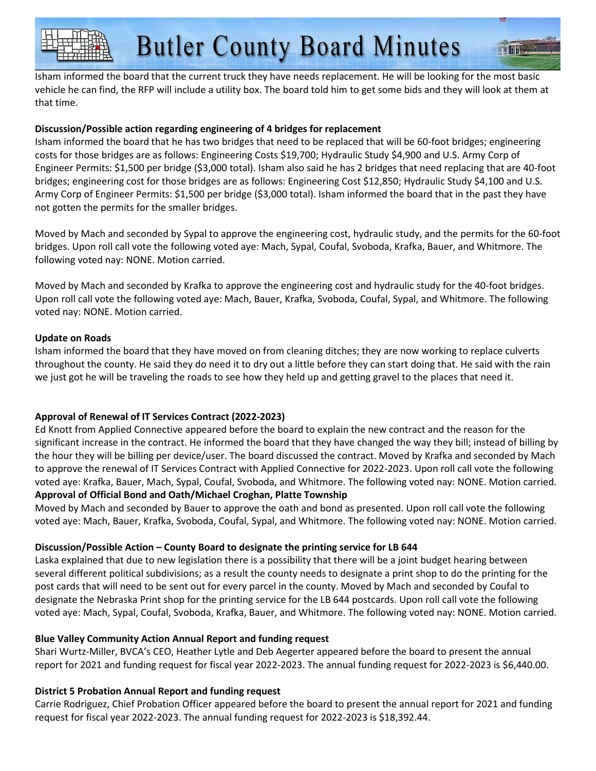Isham informed the board that the current truck they have needs replacement. He will be looking for the most basic vehicle he can find, the RFP will include a utility box. The board told him to get some bids and they will look at them at that time.

# **Discussion/Possible action regarding engineering of 4 bridges for replacement**

Isham informed the board that he has two bridges that need to be replaced that will be 60-foot bridges; engineering costs for those bridges are as follows: Engineering Costs \$19,700; Hydraulic Study \$4,900 and U.S. Army Corp of Engineer Permits: \$1,500 per bridge (\$3,000 total). Isham also said he has 2 bridges that need replacing that are 40-foot bridges; engineering cost for those bridges are as follows: Engineering Cost \$12,850; Hydraulic Study \$4,100 and U.S. Army Corp of Engineer Permits: \$1,500 per bridge (\$3,000 total). Isham informed the board that in the past they have not gotten the permits for the smaller bridges.

Moved by Mach and seconded by Sypal to approve the engineering cost, hydraulic study, and the permits for the 60-foot bridges. Upon roll call vote the following voted aye: Mach, Sypal, Coufal, Svoboda, Krafka, Bauer, and Whitmore. The following voted nay: NONE. Motion carried.

Moved by Mach and seconded by Krafka to approve the engineering cost and hydraulic study for the 40-foot bridges. Upon roll call vote the following voted aye: Mach, Bauer, Krafka, Svoboda, Coufal, Sypal, and Whitmore. The following voted nay: NONE. Motion carried.

## **Update on Roads**

Isham informed the board that they have moved on from cleaning ditches; they are now working to replace culverts throughout the county. He said they do need it to dry out a little before they can start doing that. He said with the rain we just got he will be traveling the roads to see how they held up and getting gravel to the places that need it.

# **Approval of Renewal of IT Services Contract (2022-2023)**

Ed Knott from Applied Connective appeared before the board to explain the new contract and the reason for the significant increase in the contract. He informed the board that they have changed the way they bill; instead of billing by the hour they will be billing per device/user. The board discussed the contract. Moved by Krafka and seconded by Mach to approve the renewal of IT Services Contract with Applied Connective for 2022-2023. Upon roll call vote the following voted aye: Krafka, Bauer, Mach, Sypal, Coufal, Svoboda, and Whitmore. The following voted nay: NONE. Motion carried. **Approval of Official Bond and Oath/Michael Croghan, Platte Township** 

Moved by Mach and seconded by Bauer to approve the oath and bond as presented. Upon roll call vote the following voted aye: Mach, Bauer, Krafka, Svoboda, Coufal, Sypal, and Whitmore. The following voted nay: NONE. Motion carried.

# **Discussion/Possible Action – County Board to designate the printing service for LB 644**

Laska explained that due to new legislation there is a possibility that there will be a joint budget hearing between several different political subdivisions; as a result the county needs to designate a print shop to do the printing for the post cards that will need to be sent out for every parcel in the county. Moved by Mach and seconded by Coufal to designate the Nebraska Print shop for the printing service for the LB 644 postcards. Upon roll call vote the following voted aye: Mach, Sypal, Coufal, Svoboda, Krafka, Bauer, and Whitmore. The following voted nay: NONE. Motion carried.

# **Blue Valley Community Action Annual Report and funding request**

Shari Wurtz-Miller, BVCA's CEO, Heather Lytle and Deb Aegerter appeared before the board to present the annual report for 2021 and funding request for fiscal year 2022-2023. The annual funding request for 2022-2023 is \$6,440.00.

# **District 5 Probation Annual Report and funding request**

Carrie Rodriguez, Chief Probation Officer appeared before the board to present the annual report for 2021 and funding request for fiscal year 2022-2023. The annual funding request for 2022-2023 is \$18,392.44.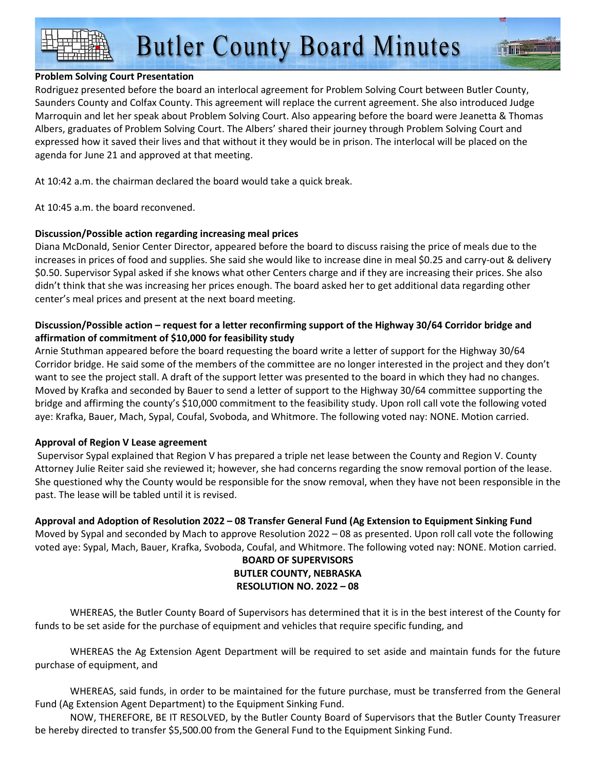# **Butler County Board Minutes**

## **Problem Solving Court Presentation**

Rodriguez presented before the board an interlocal agreement for Problem Solving Court between Butler County, Saunders County and Colfax County. This agreement will replace the current agreement. She also introduced Judge Marroquin and let her speak about Problem Solving Court. Also appearing before the board were Jeanetta & Thomas Albers, graduates of Problem Solving Court. The Albers' shared their journey through Problem Solving Court and expressed how it saved their lives and that without it they would be in prison. The interlocal will be placed on the agenda for June 21 and approved at that meeting.

At 10:42 a.m. the chairman declared the board would take a quick break.

At 10:45 a.m. the board reconvened.

# **Discussion/Possible action regarding increasing meal prices**

Diana McDonald, Senior Center Director, appeared before the board to discuss raising the price of meals due to the increases in prices of food and supplies. She said she would like to increase dine in meal \$0.25 and carry-out & delivery \$0.50. Supervisor Sypal asked if she knows what other Centers charge and if they are increasing their prices. She also didn't think that she was increasing her prices enough. The board asked her to get additional data regarding other center's meal prices and present at the next board meeting.

# **Discussion/Possible action – request for a letter reconfirming support of the Highway 30/64 Corridor bridge and affirmation of commitment of \$10,000 for feasibility study**

Arnie Stuthman appeared before the board requesting the board write a letter of support for the Highway 30/64 Corridor bridge. He said some of the members of the committee are no longer interested in the project and they don't want to see the project stall. A draft of the support letter was presented to the board in which they had no changes. Moved by Krafka and seconded by Bauer to send a letter of support to the Highway 30/64 committee supporting the bridge and affirming the county's \$10,000 commitment to the feasibility study. Upon roll call vote the following voted aye: Krafka, Bauer, Mach, Sypal, Coufal, Svoboda, and Whitmore. The following voted nay: NONE. Motion carried.

#### **Approval of Region V Lease agreement**

 Supervisor Sypal explained that Region V has prepared a triple net lease between the County and Region V. County Attorney Julie Reiter said she reviewed it; however, she had concerns regarding the snow removal portion of the lease. She questioned why the County would be responsible for the snow removal, when they have not been responsible in the past. The lease will be tabled until it is revised.

**Approval and Adoption of Resolution 2022 – 08 Transfer General Fund (Ag Extension to Equipment Sinking Fund**  Moved by Sypal and seconded by Mach to approve Resolution 2022 – 08 as presented. Upon roll call vote the following

voted aye: Sypal, Mach, Bauer, Krafka, Svoboda, Coufal, and Whitmore. The following voted nay: NONE. Motion carried. **BOARD OF SUPERVISORS** 

# **BUTLER COUNTY, NEBRASKA RESOLUTION NO. 2022 – 08**

WHEREAS, the Butler County Board of Supervisors has determined that it is in the best interest of the County for funds to be set aside for the purchase of equipment and vehicles that require specific funding, and

 WHEREAS the Ag Extension Agent Department will be required to set aside and maintain funds for the future purchase of equipment, and

 WHEREAS, said funds, in order to be maintained for the future purchase, must be transferred from the General Fund (Ag Extension Agent Department) to the Equipment Sinking Fund.

NOW, THEREFORE, BE IT RESOLVED, by the Butler County Board of Supervisors that the Butler County Treasurer be hereby directed to transfer \$5,500.00 from the General Fund to the Equipment Sinking Fund.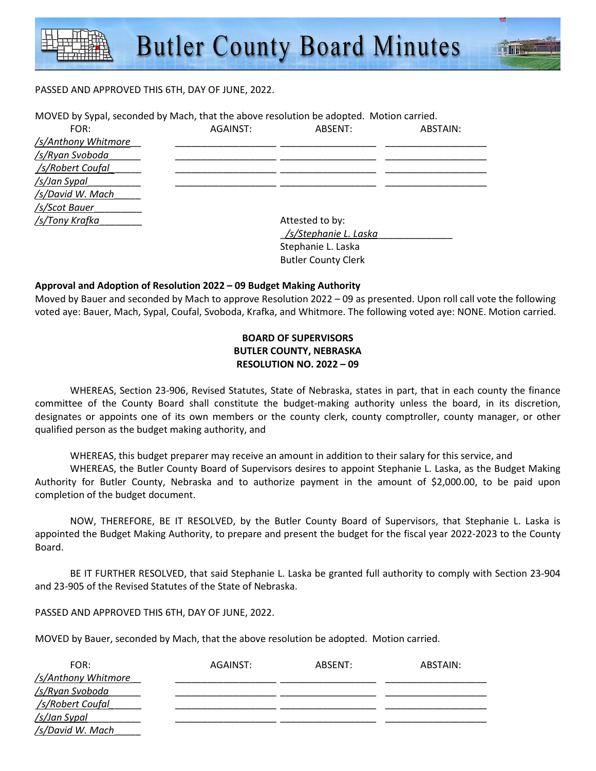#### PASSED AND APPROVED THIS 6TH, DAY OF JUNE, 2022.

| MOVED by Sypal, seconded by Mach, that the above resolution be adopted. Motion carried. |          |                                                                                        |          |
|-----------------------------------------------------------------------------------------|----------|----------------------------------------------------------------------------------------|----------|
| FOR:                                                                                    | AGAINST: | ABSENT:                                                                                | ABSTAIN: |
| /s/Anthony Whitmore                                                                     |          |                                                                                        |          |
| /s/Ryan Svoboda                                                                         |          |                                                                                        |          |
| /s/Robert Coufal                                                                        |          |                                                                                        |          |
| /s/Jan Sypal                                                                            |          |                                                                                        |          |
| /s/David W. Mach                                                                        |          |                                                                                        |          |
| /s/Scot Bauer                                                                           |          |                                                                                        |          |
| /s/Tony Krafka                                                                          |          | Attested to by:                                                                        |          |
|                                                                                         |          | $l_{\rm f}$ $l_{\rm C}$ to a leave $l_{\rm f}$ $l_{\rm f}$ $l_{\rm f}$ and $l_{\rm f}$ |          |

 \_*/s/Stephanie L. Laska*\_\_\_\_\_\_\_\_\_\_\_\_\_\_ Stephanie L. Laska Butler County Clerk

#### **Approval and Adoption of Resolution 2022 – 09 Budget Making Authority**

Moved by Bauer and seconded by Mach to approve Resolution 2022 – 09 as presented. Upon roll call vote the following voted aye: Bauer, Mach, Sypal, Coufal, Svoboda, Krafka, and Whitmore. The following voted aye: NONE. Motion carried.

# **BOARD OF SUPERVISORS BUTLER COUNTY, NEBRASKA RESOLUTION NO. 2022 – 09**

 WHEREAS, Section 23-906, Revised Statutes, State of Nebraska, states in part, that in each county the finance committee of the County Board shall constitute the budget-making authority unless the board, in its discretion, designates or appoints one of its own members or the county clerk, county comptroller, county manager, or other qualified person as the budget making authority, and

WHEREAS, this budget preparer may receive an amount in addition to their salary for this service, and

 WHEREAS, the Butler County Board of Supervisors desires to appoint Stephanie L. Laska, as the Budget Making Authority for Butler County, Nebraska and to authorize payment in the amount of \$2,000.00, to be paid upon completion of the budget document.

 NOW, THEREFORE, BE IT RESOLVED, by the Butler County Board of Supervisors, that Stephanie L. Laska is appointed the Budget Making Authority, to prepare and present the budget for the fiscal year 2022-2023 to the County Board.

 BE IT FURTHER RESOLVED, that said Stephanie L. Laska be granted full authority to comply with Section 23-904 and 23-905 of the Revised Statutes of the State of Nebraska.

PASSED AND APPROVED THIS 6TH, DAY OF JUNE, 2022.

MOVED by Bauer, seconded by Mach, that the above resolution be adopted. Motion carried.

| FOR:                | AGAINST: | ABSENT: | ABSTAIN: |
|---------------------|----------|---------|----------|
| /s/Anthony Whitmore |          |         |          |
| /s/Ryan Svoboda     |          |         |          |
| /s/Robert Coufal    |          |         |          |
| /s/Jan Sypal        |          |         |          |
| /s/David W. Mach    |          |         |          |